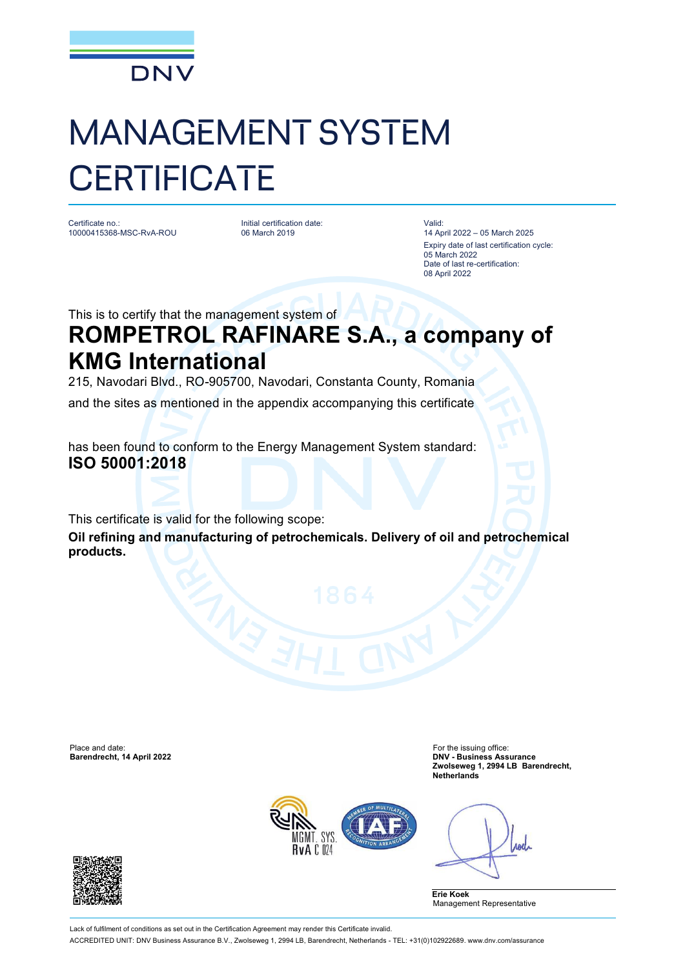

## MANAGEMENT SYSTEM **CERTIFICATE**

Certificate no.: 10000415368-MSC-RvA-ROU

Initial certification date: 06 March 2019

Valid: 14 April 2022 – 05 March 2025 Expiry date of last certification cycle: 05 March 2022 Date of last re-certification: 08 April 2022

This is to certify that the management system of

## **ROMPETROL RAFINARE S.A., a company of KMG International**

215, Navodari Blvd., RO-905700, Navodari, Constanta County, Romania

and the sites as mentioned in the appendix accompanying this certificate

has been found to conform to the Energy Management System standard: **ISO 50001:2018**

This certificate is valid for the following scope:

**Oil refining and manufacturing of petrochemicals. Delivery of oil and petrochemical products.**

Place and date: For the issuing office: For the issuing office: For the issuing office:

**Barendrecht, 14 April 2022 DNV - Business Assurance Zwolseweg 1, 2994 LB Barendrecht, Netherlands**



**And** 

**Erie Koek** Management Representative



Lack of fulfilment of conditions as set out in the Certification Agreement may render this Certificate invalid. ACCREDITED UNIT: DNV Business Assurance B.V., Zwolseweg 1, 2994 LB, Barendrecht, Netherlands - TEL: +31(0)102922689. [www.dnv.com/assurance](http://www.dnv.com/assurance)